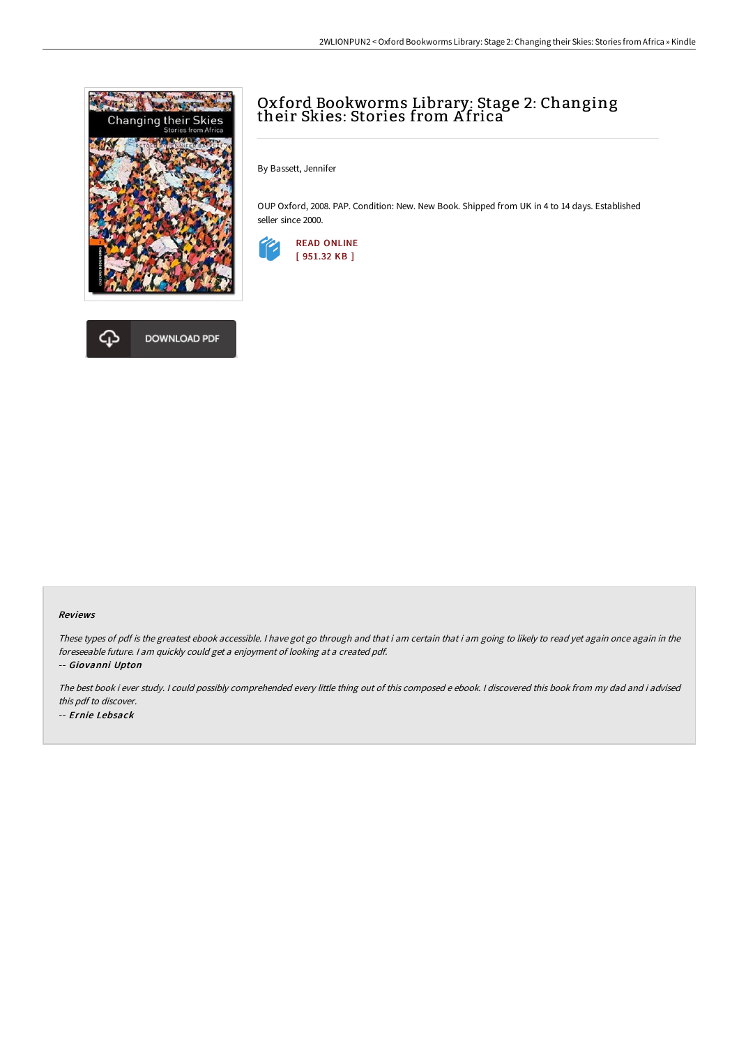

**DOWNLOAD PDF** 



By Bassett, Jennifer

OUP Oxford, 2008. PAP. Condition: New. New Book. Shipped from UK in 4 to 14 days. Established seller since 2000.





These types of pdf is the greatest ebook accessible. I have got go through and that i am certain that i am going to likely to read yet again once again in the foreseeable future. <sup>I</sup> am quickly could get <sup>a</sup> enjoyment of looking at <sup>a</sup> created pdf.

-- Giovanni Upton

क़

The best book i ever study. <sup>I</sup> could possibly comprehended every little thing out of this composed <sup>e</sup> ebook. <sup>I</sup> discovered this book from my dad and i advised this pdf to discover. -- Ernie Lebsack